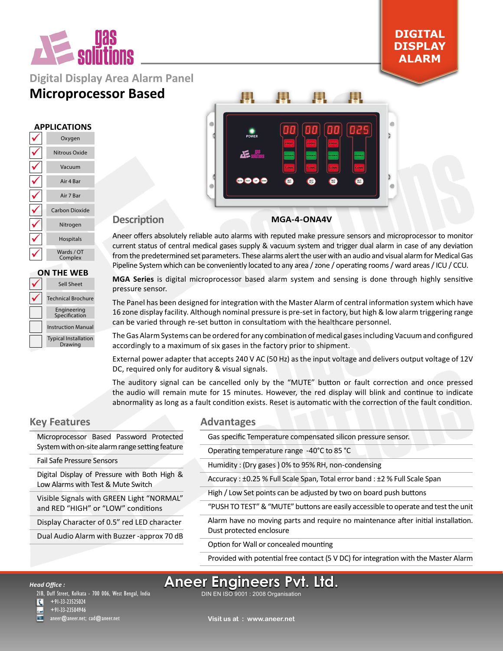

### **Digital Display Area Alarm Panel**

### **Microprocessor Based**

#### **APPLICATIONS**

| Oxygen                |
|-----------------------|
| Nitrous Oxide         |
| Vacuum                |
| Air 4 Bar             |
| Air 7 Bar             |
| <b>Carbon Dioxide</b> |
| Nitrogen              |
| Hospitals             |
| Wards / OT<br>Complex |

| <b>ON THE WEB</b> |                                        |  |  |
|-------------------|----------------------------------------|--|--|
|                   | Sell Sheet                             |  |  |
|                   | <b>Technical Brochure</b>              |  |  |
|                   | Engineering<br>Specification           |  |  |
|                   | <b>Instruction Manual</b>              |  |  |
|                   | <b>Typical Installation</b><br>Drawing |  |  |



**DIGITAL DISPLAY ALARM**

#### **Description**

#### **MGA-4-ONA4V**

Aneer offers absolutely reliable auto alarms with reputed make pressure sensors and microprocessor to monitor current status of central medical gases supply & vacuum system and trigger dual alarm in case of any deviation from the predetermined set parameters. These alarms alert the user with an audio and visual alarm for Medical Gas Pipeline System which can be conveniently located to any area / zone / operating rooms / ward areas / ICU / CCU.

**MGA Series** is digital microprocessor based alarm system and sensing is done through highly sensitive pressure sensor.

The Panel has been designed for integration with the Master Alarm of central information system which have 16 zone display facility. Although nominal pressure is pre-set in factory, but high & low alarm triggering range can be varied through re-set button in consultatiom with the healthcare personnel.

The Gas Alarm Systems can be ordered for any combination of medical gases including Vacuum and configured accordingly to a maximum of six gases in the factory prior to shipment.

External power adapter that accepts 240 V AC (50 Hz) as the input voltage and delivers output voltage of 12V DC, required only for auditory & visual signals.

The auditory signal can be cancelled only by the "MUTE" button or fault correction and once pressed the audio will remain mute for 15 minutes. However, the red display will blink and continue to indicate abnormality as long as a fault condition exists. Reset is automatic with the correction of the fault condition.

#### **Key Features**

## **Advantages**

| Microprocessor Based Password Protected                                            | Gas specific Temperature compensated silicon pressure sensor.                       |  |  |
|------------------------------------------------------------------------------------|-------------------------------------------------------------------------------------|--|--|
| System with on-site alarm range setting feature                                    | Operating temperature range -40°C to 85 °C                                          |  |  |
| <b>Fail Safe Pressure Sensors</b>                                                  | Humidity: (Dry gases) 0% to 95% RH, non-condensing                                  |  |  |
| Digital Display of Pressure with Both High &<br>Low Alarms with Test & Mute Switch | Accuracy : ±0.25 % Full Scale Span, Total error band : ±2 % Full Scale Span         |  |  |
| Visible Signals with GREEN Light "NORMAL"                                          | High / Low Set points can be adjusted by two on board push buttons                  |  |  |
| and RED "HIGH" or "LOW" conditions                                                 | "PUSH TO TEST" & "MUTE" buttons are easily accessible to operate and test the unit  |  |  |
| Display Character of 0.5" red LED character                                        | Alarm have no moving parts and require no maintenance after initial installation.   |  |  |
| Dual Audio Alarm with Buzzer -approx 70 dB                                         | Dust protected enclosure                                                            |  |  |
|                                                                                    | Option for Wall or concealed mounting                                               |  |  |
|                                                                                    | Provided with potential free contact (5 V DC) for integration with the Master Alarm |  |  |
|                                                                                    |                                                                                     |  |  |

### DIN EN ISO 9001 : 2008 Organisation **Aneer Engineers Pvt. Ltd.**

21B, Duff Street, Kolkata - 700 006, West Bengal, India +91-33-23525024

+91-33-23504946 aneer@aneer.net; cad@aneer.net

*Head Office :*

 $\overline{\mathbf{C}}$ 

**Visit us at : www.aneer.net**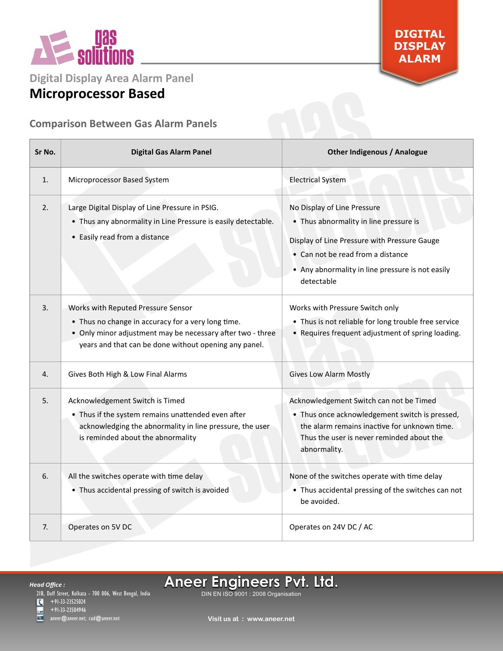

**DIGITAL DISPLAY ALARM**

**Digital Display Area Alarm Panel**

# **Microprocessor Based**

### **Comparison Between Gas Alarm Panels**

| Sr No. | <b>Digital Gas Alarm Panel</b>                                                                                                                                                                                  | <b>Other Indigenous / Analogue</b>                                                                                                                                                                                           |
|--------|-----------------------------------------------------------------------------------------------------------------------------------------------------------------------------------------------------------------|------------------------------------------------------------------------------------------------------------------------------------------------------------------------------------------------------------------------------|
| 1.     | Microprocessor Based System                                                                                                                                                                                     | <b>Electrical System</b>                                                                                                                                                                                                     |
| 2.     | Large Digital Display of Line Pressure in PSIG.<br>• Thus any abnormality in Line Pressure is easily detectable.<br>• Easily read from a distance                                                               | No Display of Line Pressure<br>• Thus abnormality in line pressure is<br>Display of Line Pressure with Pressure Gauge<br>• Can not be read from a distance<br>• Any abnormality in line pressure is not easily<br>detectable |
| 3.     | Works with Reputed Pressure Sensor<br>• Thus no change in accuracy for a very long time.<br>• Only minor adjustment may be necessary after two - three<br>years and that can be done without opening any panel. | Works with Pressure Switch only<br>• Thus is not reliable for long trouble free service<br>• Requires frequent adjustment of spring loading.                                                                                 |
| 4.     | Gives Both High & Low Final Alarms                                                                                                                                                                              | <b>Gives Low Alarm Mostly</b>                                                                                                                                                                                                |
| 5.     | Acknowledgement Switch is Timed<br>• Thus if the system remains unattended even after<br>acknowledging the abnormality in line pressure, the user<br>is reminded about the abnormality                          | Acknowledgement Switch can not be Timed<br>• Thus once acknowledgement switch is pressed,<br>the alarm remains inactive for unknown time.<br>Thus the user is never reminded about the<br>abnormality.                       |
| 6.     | All the switches operate with time delay<br>• Thus accidental pressing of switch is avoided                                                                                                                     | None of the switches operate with time delay<br>• Thus accidental pressing of the switches can not<br>be avoided.                                                                                                            |
| 7.     | Operates on 5V DC                                                                                                                                                                                               | Operates on 24V DC / AC                                                                                                                                                                                                      |

ш  $\overline{ }$  +91-33-23525024 +91-33-23504946

aneer@aneer.net; <code>cad@aneer.net</code>

DIN EN ISO 9001 : 2008 Organisation **Aneer Engineers Pvt. Ltd.**